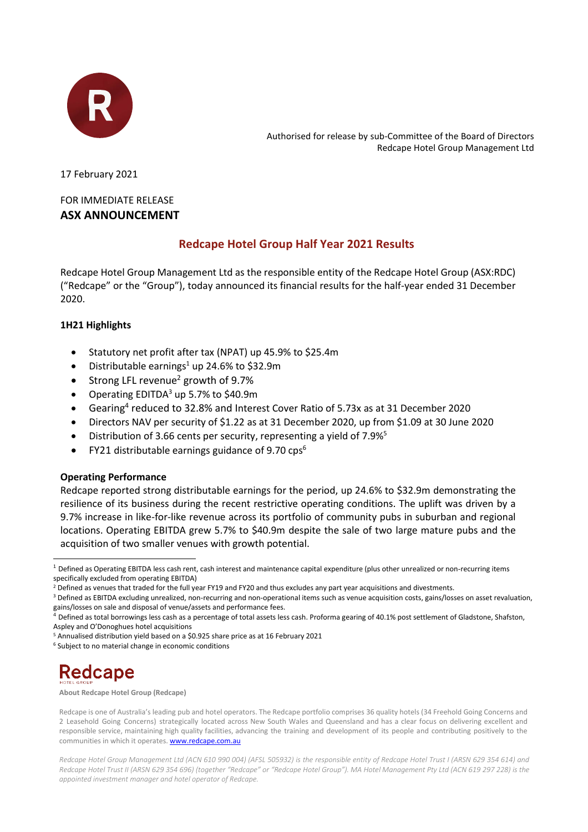

Authorised for release by sub-Committee of the Board of Directors Redcape Hotel Group Management Ltd

17 February 2021

### FOR IMMEDIATE RELEASE **ASX ANNOUNCEMENT**

### **Redcape Hotel Group Half Year 2021 Results**

Redcape Hotel Group Management Ltd as the responsible entity of the Redcape Hotel Group (ASX:RDC) ("Redcape" or the "Group"), today announced its financial results for the half-year ended 31 December 2020.

### **1H21 Highlights**

- Statutory net profit after tax (NPAT) up 45.9% to \$25.4m
- Distributable earnings<sup>1</sup> up 24.6% to \$32.9m
- Strong LFL revenue<sup>2</sup> growth of  $9.7\%$
- Operating EDITDA<sup>3</sup> up 5.7% to \$40.9m
- Gearing<sup>4</sup> reduced to 32.8% and Interest Cover Ratio of 5.73x as at 31 December 2020
- Directors NAV per security of \$1.22 as at 31 December 2020, up from \$1.09 at 30 June 2020
- Distribution of 3.66 cents per security, representing a yield of 7.9%<sup>5</sup>
- FY21 distributable earnings guidance of 9.70  $\text{cps}^6$

### **Operating Performance**

Redcape reported strong distributable earnings for the period, up 24.6% to \$32.9m demonstrating the resilience of its business during the recent restrictive operating conditions. The uplift was driven by a 9.7% increase in like-for-like revenue across its portfolio of community pubs in suburban and regional locations. Operating EBITDA grew 5.7% to \$40.9m despite the sale of two large mature pubs and the acquisition of two smaller venues with growth potential.

# Redcape

**About Redcape Hotel Group (Redcape)**

Redcape is one of Australia's leading pub and hotel operators. The Redcape portfolio comprises 36 quality hotels (34 Freehold Going Concerns and 2 Leasehold Going Concerns) strategically located across New South Wales and Queensland and has a clear focus on delivering excellent and responsible service, maintaining high quality facilities, advancing the training and development of its people and contributing positively to the communities in which it operates[. www.redcape.com.au](http://www.redcape.com.au/)

*Redcape Hotel Group Management Ltd (ACN 610 990 004) (AFSL 505932) is the responsible entity of Redcape Hotel Trust I (ARSN 629 354 614) and Redcape Hotel Trust II (ARSN 629 354 696) (together "Redcape" or "Redcape Hotel Group"). MA Hotel Management Pty Ltd (ACN 619 297 228) is the appointed investment manager and hotel operator of Redcape.* 

<sup>1</sup> Defined as Operating EBITDA less cash rent, cash interest and maintenance capital expenditure (plus other unrealized or non-recurring items specifically excluded from operating EBITDA)

<sup>&</sup>lt;sup>2</sup> Defined as venues that traded for the full year FY19 and FY20 and thus excludes any part year acquisitions and divestments.

<sup>&</sup>lt;sup>3</sup> Defined as EBITDA excluding unrealized, non-recurring and non-operational items such as venue acquisition costs, gains/losses on asset revaluation, gains/losses on sale and disposal of venue/assets and performance fees.

<sup>4</sup> Defined as total borrowings less cash as a percentage of total assets less cash. Proforma gearing of 40.1% post settlement of Gladstone, Shafston, Aspley and O'Donoghues hotel acquisitions

<sup>5</sup> Annualised distribution yield based on a \$0.925 share price as at 16 February 2021

<sup>6</sup> Subject to no material change in economic conditions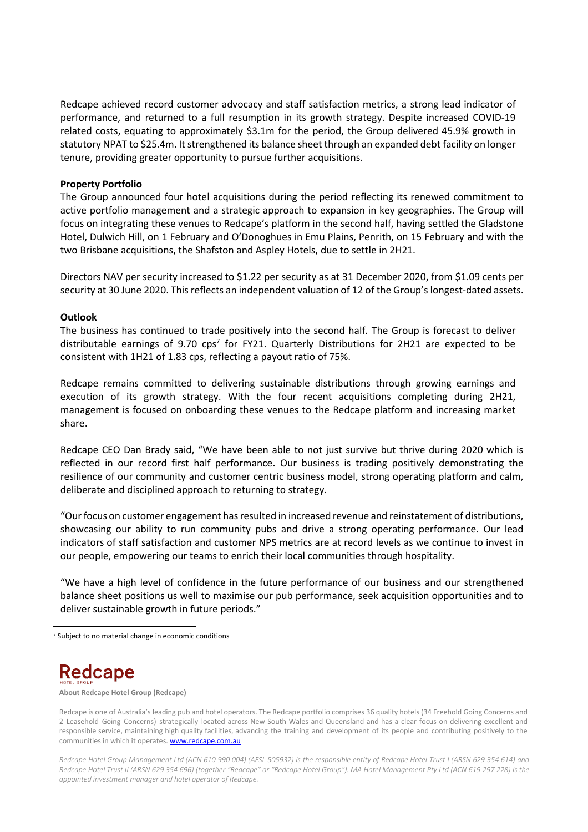Redcape achieved record customer advocacy and staff satisfaction metrics, a strong lead indicator of performance, and returned to a full resumption in its growth strategy. Despite increased COVID-19 related costs, equating to approximately \$3.1m for the period, the Group delivered 45.9% growth in statutory NPAT to \$25.4m. It strengthened its balance sheet through an expanded debt facility on longer tenure, providing greater opportunity to pursue further acquisitions.

#### **Property Portfolio**

The Group announced four hotel acquisitions during the period reflecting its renewed commitment to active portfolio management and a strategic approach to expansion in key geographies. The Group will focus on integrating these venues to Redcape's platform in the second half, having settled the Gladstone Hotel, Dulwich Hill, on 1 February and O'Donoghues in Emu Plains, Penrith, on 15 February and with the two Brisbane acquisitions, the Shafston and Aspley Hotels, due to settle in 2H21.

Directors NAV per security increased to \$1.22 per security as at 31 December 2020, from \$1.09 cents per security at 30 June 2020. This reflects an independent valuation of 12 of the Group's longest-dated assets.

#### **Outlook**

The business has continued to trade positively into the second half. The Group is forecast to deliver distributable earnings of 9.70  $cps<sup>7</sup>$  for FY21. Quarterly Distributions for 2H21 are expected to be consistent with 1H21 of 1.83 cps, reflecting a payout ratio of 75%.

Redcape remains committed to delivering sustainable distributions through growing earnings and execution of its growth strategy. With the four recent acquisitions completing during 2H21, management is focused on onboarding these venues to the Redcape platform and increasing market share.

Redcape CEO Dan Brady said, "We have been able to not just survive but thrive during 2020 which is reflected in our record first half performance. Our business is trading positively demonstrating the resilience of our community and customer centric business model, strong operating platform and calm, deliberate and disciplined approach to returning to strategy.

"Our focus on customer engagement has resulted in increased revenue and reinstatement of distributions, showcasing our ability to run community pubs and drive a strong operating performance. Our lead indicators of staff satisfaction and customer NPS metrics are at record levels as we continue to invest in our people, empowering our teams to enrich their local communities through hospitality.

"We have a high level of confidence in the future performance of our business and our strengthened balance sheet positions us well to maximise our pub performance, seek acquisition opportunities and to deliver sustainable growth in future periods."

## **Redcape**

**About Redcape Hotel Group (Redcape)**

*Redcape Hotel Group Management Ltd (ACN 610 990 004) (AFSL 505932) is the responsible entity of Redcape Hotel Trust I (ARSN 629 354 614) and Redcape Hotel Trust II (ARSN 629 354 696) (together "Redcape" or "Redcape Hotel Group"). MA Hotel Management Pty Ltd (ACN 619 297 228) is the appointed investment manager and hotel operator of Redcape.* 

<sup>&</sup>lt;sup>7</sup> Subject to no material change in economic conditions

Redcape is one of Australia's leading pub and hotel operators. The Redcape portfolio comprises 36 quality hotels (34 Freehold Going Concerns and 2 Leasehold Going Concerns) strategically located across New South Wales and Queensland and has a clear focus on delivering excellent and responsible service, maintaining high quality facilities, advancing the training and development of its people and contributing positively to the communities in which it operates[. www.redcape.com.au](http://www.redcape.com.au/)